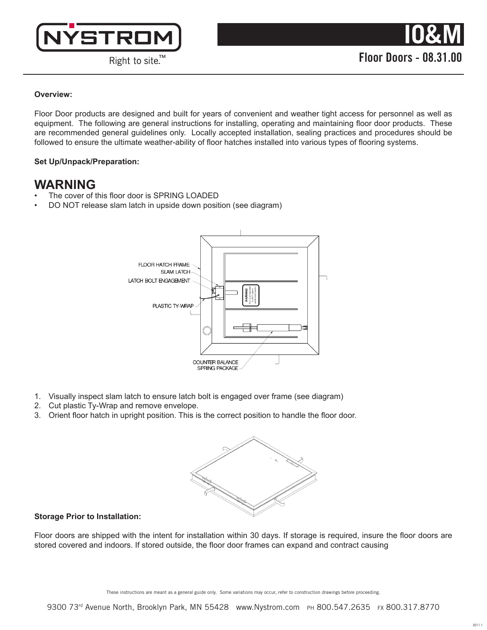

## **Overview:**

Floor Door products are designed and built for years of convenient and weather tight access for personnel as well as equipment. The following are general instructions for installing, operating and maintaining floor door products. These are recommended general guidelines only. Locally accepted installation, sealing practices and procedures should be followed to ensure the ultimate weather-ability of floor hatches installed into various types of flooring systems.

## **Set Up/Unpack/Preparation:**

# **WARNING**

- The cover of this floor door is SPRING LOADED
- DO NOT release slam latch in upside down position (see diagram)



- 1. Visually inspect slam latch to ensure latch bolt is engaged over frame (see diagram)
- 2. Cut plastic Ty-Wrap and remove envelope.
- 3. Orient floor hatch in upright position. This is the correct position to handle the floor door.



## **Storage Prior to Installation:**

Floor doors are shipped with the intent for installation within 30 days. If storage is required, insure the floor doors are stored covered and indoors. If stored outside, the floor door frames can expand and contract causing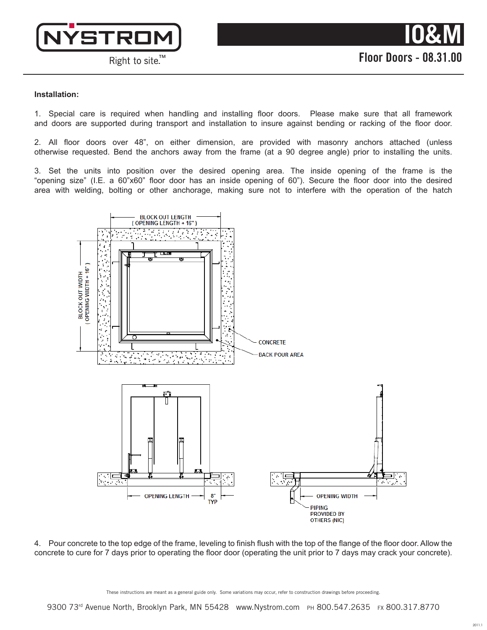

#### **Installation:**

1. Special care is required when handling and installing floor doors. Please make sure that all framework and doors are supported during transport and installation to insure against bending or racking of the floor door.

2. All floor doors over 48", on either dimension, are provided with masonry anchors attached (unless otherwise requested. Bend the anchors away from the frame (at a 90 degree angle) prior to installing the units.

3. Set the units into position over the desired opening area. The inside opening of the frame is the "opening size" (I.E. a 60"x60" floor door has an inside opening of 60"). Secure the floor door into the desired area with welding, bolting or other anchorage, making sure not to interfere with the operation of the hatch



4. Pour concrete to the top edge of the frame, leveling to finish flush with the top of the flange of the floor door. Allow the concrete to cure for 7 days prior to operating the floor door (operating the unit prior to 7 days may crack your concrete).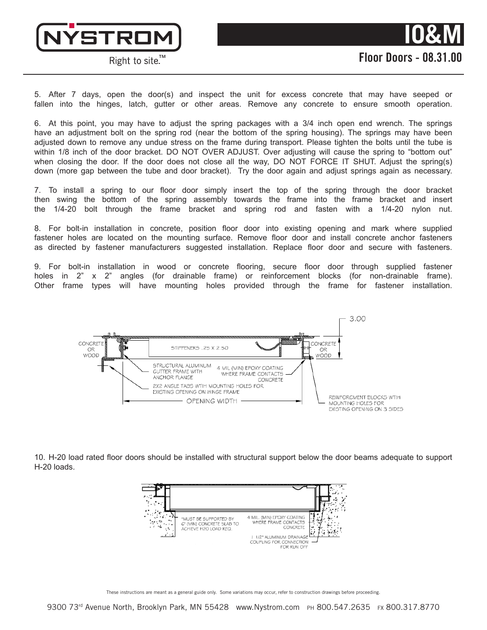



5. After 7 days, open the door(s) and inspect the unit for excess concrete that may have seeped or fallen into the hinges, latch, gutter or other areas. Remove any concrete to ensure smooth operation.

6. At this point, you may have to adjust the spring packages with a 3/4 inch open end wrench. The springs have an adjustment bolt on the spring rod (near the bottom of the spring housing). The springs may have been adjusted down to remove any undue stress on the frame during transport. Please tighten the bolts until the tube is within 1/8 inch of the door bracket. DO NOT OVER ADJUST. Over adjusting will cause the spring to "bottom out" when closing the door. If the door does not close all the way, DO NOT FORCE IT SHUT. Adjust the spring(s) down (more gap between the tube and door bracket). Try the door again and adjust springs again as necessary.

7. To install a spring to our floor door simply insert the top of the spring through the door bracket then swing the bottom of the spring assembly towards the frame into the frame bracket and insert the 1/4-20 bolt through the frame bracket and spring rod and fasten with a 1/4-20 nylon nut.

8. For bolt-in installation in concrete, position floor door into existing opening and mark where supplied fastener holes are located on the mounting surface. Remove floor door and install concrete anchor fasteners as directed by fastener manufacturers suggested installation. Replace floor door and secure with fasteners.

9. For bolt-in installation in wood or concrete flooring, secure floor door through supplied fastener holes in 2" x 2" angles (for drainable frame) or reinforcement blocks (for non-drainable frame). Other frame types will have mounting holes provided through the frame for fastener installation.



10. H-20 load rated floor doors should be installed with structural support below the door beams adequate to support H-20 loads.



These instructions are meant as a general guide only. Some variations may occur, refer to construction drawings before proceeding.